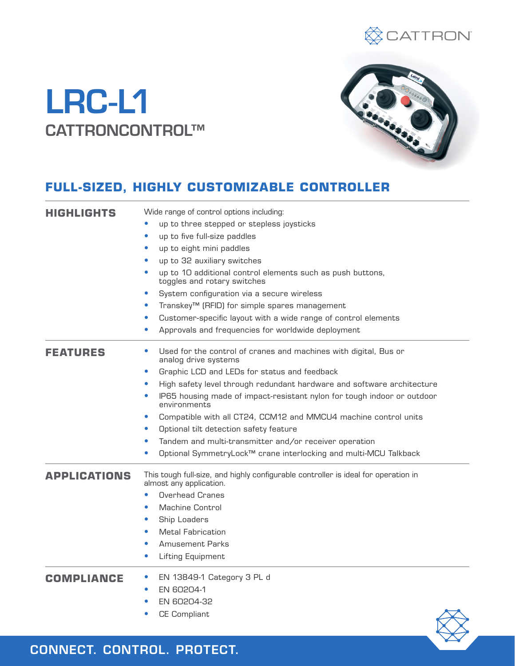

# LRC-L1 CATTRONCONTROL™



# **FULL-SIZED, HIGHLY CUSTOMIZABLE CONTROLLER**

| <b>HIGHLIGHTS</b>   | Wide range of control options including:                                                                      |  |  |  |
|---------------------|---------------------------------------------------------------------------------------------------------------|--|--|--|
|                     | up to three stepped or stepless joysticks                                                                     |  |  |  |
|                     | up to five full-size paddles                                                                                  |  |  |  |
|                     | up to eight mini paddles<br>$\bullet$                                                                         |  |  |  |
|                     | up to 32 auxiliary switches<br>$\bullet$                                                                      |  |  |  |
|                     | up to 10 additional control elements such as push buttons,<br>toggles and rotary switches                     |  |  |  |
|                     | System configuration via a secure wireless<br>$\bullet$                                                       |  |  |  |
|                     | Transkey <sup>™</sup> (RFID) for simple spares management                                                     |  |  |  |
|                     | Customer-specific layout with a wide range of control elements                                                |  |  |  |
|                     | Approvals and frequencies for worldwide deployment                                                            |  |  |  |
| <b>FEATURES</b>     | Used for the control of cranes and machines with digital, Bus or<br>analog drive systems                      |  |  |  |
|                     | Graphic LCD and LEDs for status and feedback<br>$\bullet$                                                     |  |  |  |
|                     | High safety level through redundant hardware and software architecture<br>$\bullet$                           |  |  |  |
|                     | IP65 housing made of impact-resistant nylon for tough indoor or outdoor<br>environments                       |  |  |  |
|                     | Compatible with all CT24, CCM12 and MMCU4 machine control units<br>$\bullet$                                  |  |  |  |
|                     | Optional tilt detection safety feature                                                                        |  |  |  |
|                     | Tandem and multi-transmitter and/or receiver operation                                                        |  |  |  |
|                     | Optional SymmetryLock™ crane interlocking and multi-MCU Talkback                                              |  |  |  |
| <b>APPLICATIONS</b> | This tough full-size, and highly configurable controller is ideal for operation in<br>almost any application. |  |  |  |
|                     | <b>Overhead Cranes</b>                                                                                        |  |  |  |
|                     | <b>Machine Control</b>                                                                                        |  |  |  |
|                     | Ship Loaders                                                                                                  |  |  |  |
|                     | <b>Metal Fabrication</b>                                                                                      |  |  |  |
|                     | <b>Amusement Parks</b>                                                                                        |  |  |  |
|                     | Lifting Equipment<br>$\bullet$                                                                                |  |  |  |
| COMPLIANCE          | EN 13849-1 Category 3 PL d                                                                                    |  |  |  |
|                     | EN 60204-1                                                                                                    |  |  |  |
|                     | EN 60204-32                                                                                                   |  |  |  |
|                     | <b>CE Compliant</b>                                                                                           |  |  |  |

CONNECT. CONTROL. PROTECT.